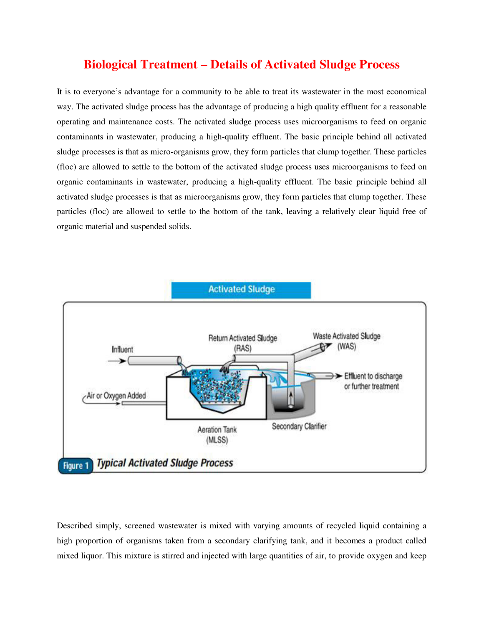# **Biological Treatment – Details of Activated Sludge Process**

It is to everyone's advantage for a community to be able to treat its wastewater in the most economical way. The activated sludge process has the advantage of producing a high quality effluent for a reasonable operating and maintenance costs. The activated sludge process uses microorganisms to feed on organic contaminants in wastewater, producing a high-quality effluent. The basic principle behind all activated sludge processes is that as micro-organisms grow, they form particles that clump together. These particles (floc) are allowed to settle to the bottom of the activated sludge process uses microorganisms to feed on organic contaminants in wastewater, producing a high-quality effluent. The basic principle behind all activated sludge processes is that as microorganisms grow, they form particles that clump together. These particles (floc) are allowed to settle to the bottom of the tank, leaving a relatively clear liquid free of organic material and suspended solids.



Described simply, screened wastewater is mixed with varying amounts of recycled liquid containing a high proportion of organisms taken from a secondary clarifying tank, and it becomes a product called mixed liquor. This mixture is stirred and injected with large quantities of air, to provide oxygen and keep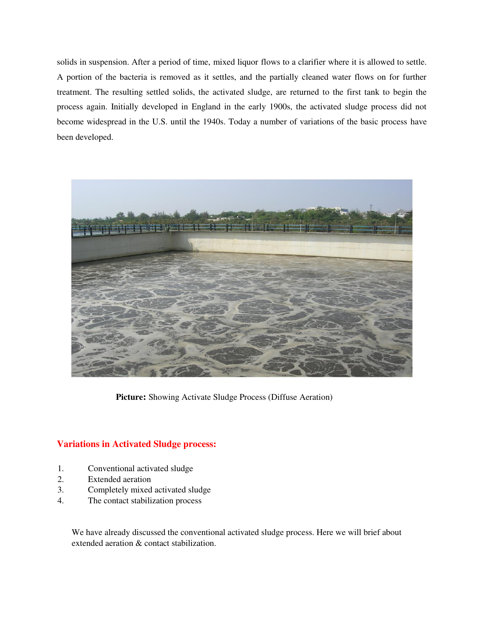solids in suspension. After a period of time, mixed liquor flows to a clarifier where it is allowed to settle. A portion of the bacteria is removed as it settles, and the partially cleaned water flows on for further treatment. The resulting settled solids, the activated sludge, are returned to the first tank to begin the process again. Initially developed in England in the early 1900s, the activated sludge process did not become widespread in the U.S. until the 1940s. Today a number of variations of the basic process have been developed.



**Picture:** Showing Activate Sludge Process (Diffuse Aeration)

## **Variations in Activated Sludge process:**

- 1. Conventional activated sludge
- 2. Extended aeration
- 3. Completely mixed activated sludge
- 4. The contact stabilization process

We have already discussed the conventional activated sludge process. Here we will brief about extended aeration & contact stabilization.